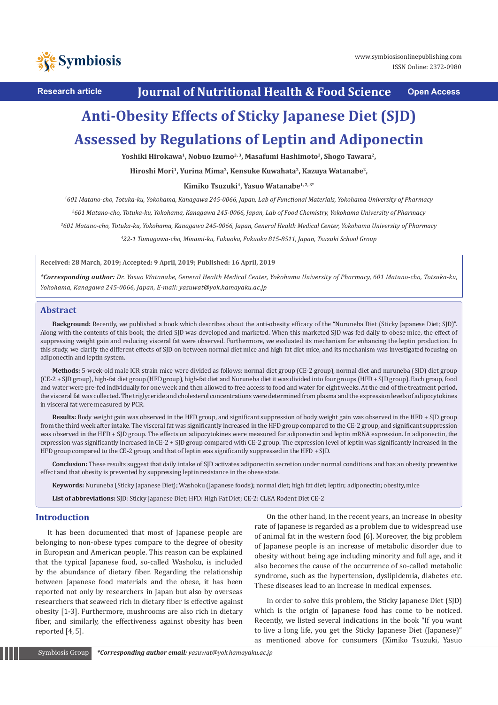

**Research article Journal of Nutritional Health & Food Science Open Access**

# **Anti-Obesity Effects of Sticky Japanese Diet (SJD) Assessed by Regulations of Leptin and Adiponectin**

Yoshiki Hirokawa<sup>1</sup>, Nobuo Izumo<sup>2, 3</sup>, Masafumi Hashimoto<sup>3</sup>, Shogo Tawara<sup>2</sup>,

**Hiroshi Mori1, Yurina Mima2, Kensuke Kuwahata2, Kazuya Watanabe2,**

**Kimiko Tsuzuki4, Yasuo Watanabe1, 2, 3\***

*1 601 Matano-cho, Totuka-ku, Yokohama, Kanagawa 245-0066, Japan, Lab of Functional Materials, Yokohama University of Pharmacy*

*2 601 Matano-cho, Totuka-ku, Yokohama, Kanagawa 245-0066, Japan, Lab of Food Chemistry, Yokohama University of Pharmacy*

*3 601 Matano-cho, Totuka-ku, Yokohama, Kanagawa 245-0066, Japan, General Health Medical Center, Yokohama University of Pharmacy*

*4 22-1 Tamagawa-cho, Minami-ku, Fukuoka, Fukuoka 815-8511, Japan, Tsuzuki School Group*

**Received: 28 March, 2019; Accepted: 9 April, 2019; Published: 16 April, 2019**

*\*Corresponding author: Dr. Yasuo Watanabe, General Health Medical Center, Yokohama University of Pharmacy, 601 Matano-cho, Totsuka-ku, Yokohama, Kanagawa 245-0066, Japan, E-mail: yasuwat@yok.hamayaku.ac.jp*

#### **Abstract**

Background: Recently, we published a book which describes about the anti-obesity efficacy of the "Nuruneba Diet (Sticky Japanese Diet; SJD)". Along with the contents of this book, the dried SJD was developed and marketed. When this marketed SJD was fed daily to obese mice, the effect of suppressing weight gain and reducing visceral fat were observed. Furthermore, we evaluated its mechanism for enhancing the leptin production. In this study, we clarify the different effects of SJD on between normal diet mice and high fat diet mice, and its mechanism was investigated focusing on adiponectin and leptin system.

**Methods:** 5-week-old male ICR strain mice were divided as follows: normal diet group (CE-2 group), normal diet and nuruneba (SJD) diet group (CE-2 + SJD group), high-fat diet group (HFD group), high-fat diet and Nuruneba diet it was divided into four groups (HFD + SJD group). Each group, food and water were pre-fed individually for one week and then allowed to free access to food and water for eight weeks. At the end of the treatment period, the visceral fat was collected. The triglyceride and cholesterol concentrations were determined from plasma and the expression levels of adipocytokines in visceral fat were measured by PCR.

**Results:** Body weight gain was observed in the HFD group, and significant suppression of body weight gain was observed in the HFD + SJD group from the third week after intake. The visceral fat was significantly increased in the HFD group compared to the CE-2 group, and significant suppression was observed in the HFD + SJD group. The effects on adipocytokines were measured for adiponectin and leptin mRNA expression. In adiponectin, the expression was significantly increased in CE-2 + SJD group compared with CE-2 group. The expression level of leptin was significantly increased in the HFD group compared to the CE-2 group, and that of leptin was significantly suppressed in the HFD + SJD.

**Conclusion:** These results suggest that daily intake of SJD activates adiponectin secretion under normal conditions and has an obesity preventive effect and that obesity is prevented by suppressing leptin resistance in the obese state.

**Keywords:** Nuruneba (Sticky Japanese Diet); Washoku (Japanese foods); normal diet; high fat diet; leptin; adiponectin; obesity, mice

**List of abbreviations:** SJD: Sticky Japanese Diet; HFD: High Fat Diet; CE-2: CLEA Rodent Diet CE-2

# **Introduction**

It has been documented that most of Japanese people are belonging to non-obese types compare to the degree of obesity in European and American people. This reason can be explained that the typical Japanese food, so-called Washoku, is included by the abundance of dietary fiber. Regarding the relationship between Japanese food materials and the obese, it has been reported not only by researchers in Japan but also by overseas researchers that seaweed rich in dietary fiber is effective against obesity [1-3]. Furthermore, mushrooms are also rich in dietary fiber, and similarly, the effectiveness against obesity has been reported [4, 5].

On the other hand, in the recent years, an increase in obesity rate of Japanese is regarded as a problem due to widespread use of animal fat in the western food [6]. Moreover, the big problem of Japanese people is an increase of metabolic disorder due to obesity without being age including minority and full age, and it also becomes the cause of the occurrence of so-called metabolic syndrome, such as the hypertension, dyslipidemia, diabetes etc. These diseases lead to an increase in medical expenses.

In order to solve this problem, the Sticky Japanese Diet (SJD) which is the origin of Japanese food has come to be noticed. Recently, we listed several indications in the book "If you want to live a long life, you get the Sticky Japanese Diet (Japanese)" as mentioned above for consumers (Kimiko Tsuzuki, Yasuo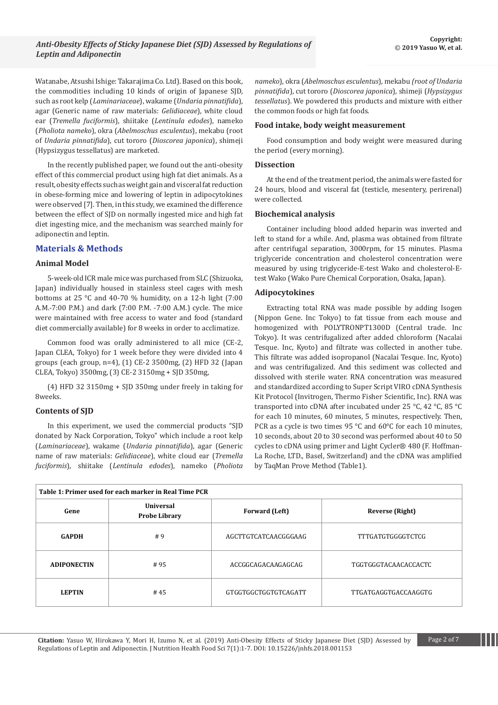Watanabe, Atsushi Ishige: Takarajima Co. Ltd). Based on this book, the commodities including 10 kinds of origin of Japanese SJD, such as root kelp (*Laminariaceae*), wakame (*Undaria pinnatifida*), agar (Generic name of raw materials: *Gelidiaceae*), white cloud ear (*Tremella fuciformis*), shiitake (*Lentinula edodes*), nameko (*Pholiota nameko*), okra (*Abelmoschus esculentus*), mekabu (root of *Undaria pinnatifida*), cut tororo (*Dioscorea japonica*), shimeji (Hypsizygus tessellatus) are marketed.

In the recently published paper, we found out the anti-obesity effect of this commercial product using high fat diet animals. As a result, obesity effects such as weight gain and visceral fat reduction in obese-forming mice and lowering of leptin in adipocytokines were observed [7]. Then, in this study, we examined the difference between the effect of SJD on normally ingested mice and high fat diet ingesting mice, and the mechanism was searched mainly for adiponectin and leptin.

# **Materials & Methods**

# **Animal Model**

5-week-old ICR male mice was purchased from SLC (Shizuoka, Japan) individually housed in stainless steel cages with mesh bottoms at 25 °C and 40-70 % humidity, on a 12-h light (7:00 A.M.-7:00 P.M.) and dark (7:00 P.M. -7:00 A.M.) cycle. The mice were maintained with free access to water and food (standard diet commercially available) for 8 weeks in order to acclimatize.

Common food was orally administered to all mice (CE-2, Japan CLEA, Tokyo) for 1 week before they were divided into 4 groups (each group, n=4), (1) CE-2 3500mg, (2) HFD 32 (Japan CLEA, Tokyo) 3500mg, (3) CE-2 3150mg + SJD 350mg,

(4) HFD 32 3150mg + SJD 350mg under freely in taking for 8weeks.

# **Contents of SJD**

In this experiment, we used the commercial products "SJD donated by Nack Corporation, Tokyo" which include a root kelp (*Laminariaceae*), wakame (*Undaria pinnatifida*), agar (Generic name of raw materials: *Gelidiaceae*), white cloud ear (*Tremella fuciformis*), shiitake (*Lentinula edodes*), nameko (*Pholiota* 

*nameko*), okra (*Abelmoschus esculentus*), mekabu *(root of Undaria pinnatifida*), cut tororo (*Dioscorea japonica*), shimeji (*Hypsizygus tessellatus*). We powdered this products and mixture with either the common foods or high fat foods.

## **Food intake, body weight measurement**

Food consumption and body weight were measured during the period (every morning).

### **Dissection**

At the end of the treatment period, the animals were fasted for 24 hours, blood and visceral fat (testicle, mesentery, perirenal) were collected.

# **Biochemical analysis**

Container including blood added heparin was inverted and left to stand for a while. And, plasma was obtained from filtrate after centrifugal separation, 3000rpm, for 15 minutes. Plasma triglyceride concentration and cholesterol concentration were measured by using triglyceride-E-test Wako and cholesterol-Etest Wako (Wako Pure Chemical Corporation, Osaka, Japan).

# **Adipocytokines**

Extracting total RNA was made possible by adding Isogen (Nippon Gene. Inc Tokyo) to fat tissue from each mouse and homogenized with POLYTRONPT1300D (Central trade. Inc Tokyo). It was centrifugalized after added chloroform (Nacalai Tesque. Inc, Kyoto) and filtrate was collected in another tube. This filtrate was added isopropanol (Nacalai Tesque. Inc, Kyoto) and was centrifugalized. And this sediment was collected and dissolved with sterile water. RNA concentration was measured and standardized according to Super Script VIRO cDNA Synthesis Kit Protocol (Invitrogen, Thermo Fisher Scientific, Inc). RNA was transported into cDNA after incubated under 25 °C, 42 °C, 85 °C for each 10 minutes, 60 minutes, 5 minutes, respectively. Then, PCR as a cycle is two times 95 °C and 60°C for each 10 minutes, 10 seconds, about 20 to 30 second was performed about 40 to 50 cycles to cDNA using primer and Light Cycler® 480 (F. Hoffman-La Roche, LTD., Basel, Switzerland) and the cDNA was amplified by TaqMan Prove Method (Table1).

| Table 1: Primer used for each marker in Real Time PCR |                                          |                       |                             |
|-------------------------------------------------------|------------------------------------------|-----------------------|-----------------------------|
| Gene                                                  | <b>Universal</b><br><b>Probe Library</b> | <b>Forward (Left)</b> | Reverse (Right)             |
| <b>GAPDH</b>                                          | #9                                       | AGCTTGTCATCAACGGGAAG  | TTTGATGTGGGGTCTCG           |
| <b>ADIPONECTIN</b>                                    | #95                                      | ACCGGCAGACAAGAGCAG    | TGGTGGGTACAACACCACTC        |
| <b>LEPTIN</b>                                         | #45                                      | GTGGTGGCTGGTGTCAGATT  | <b>TTGATGAGGTGACCAAGGTG</b> |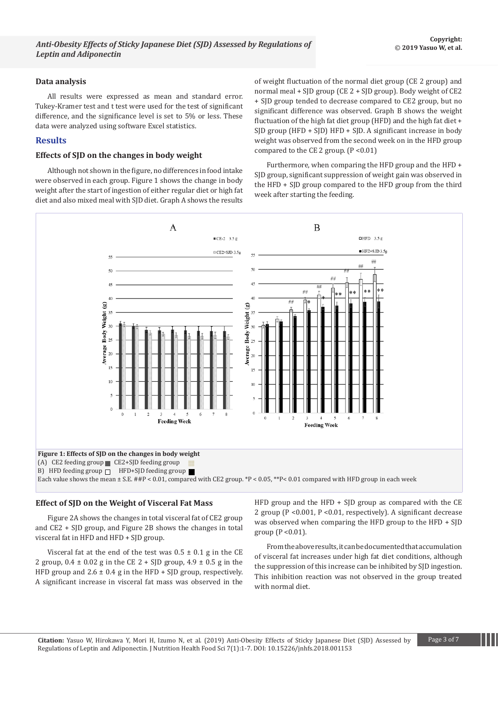#### **Data analysis**

All results were expressed as mean and standard error. Tukey-Kramer test and t test were used for the test of significant difference, and the significance level is set to 5% or less. These data were analyzed using software Excel statistics.

# **Results**

# **Effects of SJD on the changes in body weight**

Although not shown in the figure, no differences in food intake were observed in each group. Figure 1 shows the change in body weight after the start of ingestion of either regular diet or high fat diet and also mixed meal with SJD diet. Graph A shows the results of weight fluctuation of the normal diet group (CE 2 group) and normal meal + SJD group (CE 2 + SJD group). Body weight of CE2 + SJD group tended to decrease compared to CE2 group, but no significant difference was observed. Graph B shows the weight fluctuation of the high fat diet group (HFD) and the high fat diet + SJD group (HFD + SJD) HFD + SJD. A significant increase in body weight was observed from the second week on in the HFD group compared to the CE 2 group.  $(P < 0.01)$ 

Furthermore, when comparing the HFD group and the HFD + SJD group, significant suppression of weight gain was observed in the HFD + SJD group compared to the HFD group from the third week after starting the feeding.



#### **Effect of SJD on the Weight of Visceral Fat Mass**

Figure 2A shows the changes in total visceral fat of CE2 group and CE2 + SJD group, and Figure 2B shows the changes in total visceral fat in HFD and HFD + SJD group.

Visceral fat at the end of the test was  $0.5 \pm 0.1$  g in the CE 2 group,  $0.4 \pm 0.02$  g in the CE 2 + SJD group,  $4.9 \pm 0.5$  g in the HFD group and  $2.6 \pm 0.4$  g in the HFD + SJD group, respectively. A significant increase in visceral fat mass was observed in the

HFD group and the HFD + SJD group as compared with the CE 2 group (P <0.001, P <0.01, respectively). A significant decrease was observed when comparing the HFD group to the HFD + SJD group ( $P < 0.01$ ).

From the above results, it can be documented that accumulation of visceral fat increases under high fat diet conditions, although the suppression of this increase can be inhibited by SJD ingestion. This inhibition reaction was not observed in the group treated with normal diet.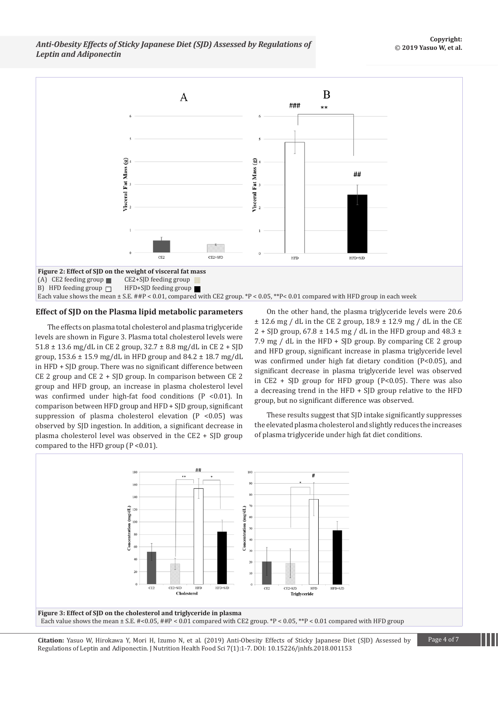

#### **Effect of SJD on the Plasma lipid metabolic parameters**

The effects on plasma total cholesterol and plasma triglyceride levels are shown in Figure 3. Plasma total cholesterol levels were 51.8  $\pm$  13.6 mg/dL in CE 2 group, 32.7  $\pm$  8.8 mg/dL in CE 2 + SJD group,  $153.6 \pm 15.9$  mg/dL in HFD group and  $84.2 \pm 18.7$  mg/dL in HFD + SJD group. There was no significant difference between CE 2 group and CE 2 + SJD group. In comparison between CE 2 group and HFD group, an increase in plasma cholesterol level was confirmed under high-fat food conditions (P <0.01). In comparison between HFD group and HFD + SJD group, significant suppression of plasma cholesterol elevation  $(P < 0.05)$  was observed by SJD ingestion. In addition, a significant decrease in plasma cholesterol level was observed in the CE2 + SJD group compared to the HFD group  $(P < 0.01)$ .

On the other hand, the plasma triglyceride levels were 20.6  $\pm$  12.6 mg / dL in the CE 2 group, 18.9  $\pm$  12.9 mg / dL in the CE 2 + SJD group,  $67.8 \pm 14.5$  mg / dL in the HFD group and  $48.3 \pm$ 7.9 mg / dL in the HFD + SJD group. By comparing CE 2 group and HFD group, significant increase in plasma triglyceride level was confirmed under high fat dietary condition (P<0.05), and significant decrease in plasma triglyceride level was observed in CE2 + SJD group for HFD group ( $P < 0.05$ ). There was also a decreasing trend in the HFD + SJD group relative to the HFD group, but no significant difference was observed.

These results suggest that SJD intake significantly suppresses the elevated plasma cholesterol and slightly reduces the increases of plasma triglyceride under high fat diet conditions.



**Citation:** Yasuo W, Hirokawa Y, Mori H, Izumo N, et al. (2019) Anti-Obesity Effects of Sticky Japanese Diet (SJD) Assessed by Page 4 of 7 Regulations of Leptin and Adiponectin. J Nutrition Health Food Sci 7(1):1-7. DOI: 10.15226/jnhfs.2018.001153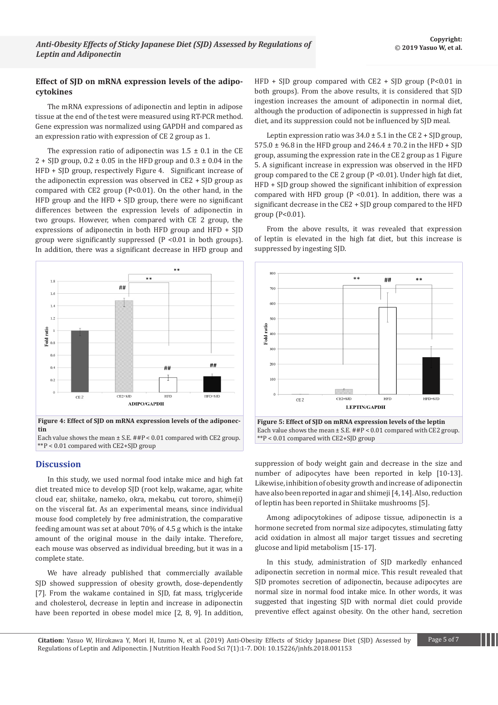# **Effect of SJD on mRNA expression levels of the adipocytokines**

The mRNA expressions of adiponectin and leptin in adipose tissue at the end of the test were measured using RT-PCR method. Gene expression was normalized using GAPDH and compared as an expression ratio with expression of CE 2 group as 1.

The expression ratio of adiponectin was  $1.5 \pm 0.1$  in the CE 2 + SJD group,  $0.2 \pm 0.05$  in the HFD group and  $0.3 \pm 0.04$  in the HFD + SJD group, respectively Figure 4. Significant increase of the adiponectin expression was observed in CE2 + SJD group as compared with CE2 group (P<0.01). On the other hand, in the HFD group and the HFD + SJD group, there were no significant differences between the expression levels of adiponectin in two groups. However, when compared with CE 2 group, the expressions of adiponectin in both HFD group and HFD + SJD group were significantly suppressed (P <0.01 in both groups). In addition, there was a significant decrease in HFD group and



**Figure 4: Effect of SJD on mRNA expression levels of the adiponectin**

Each value shows the mean  $\pm$  S.E.  $\# \nexists P < 0.01$  compared with CE2 group. \*\*P < 0.01 compared with CE2+SJD group

# **Discussion**

In this study, we used normal food intake mice and high fat diet treated mice to develop SJD (root kelp, wakame, agar, white cloud ear, shiitake, nameko, okra, mekabu, cut tororo, shimeji) on the visceral fat. As an experimental means, since individual mouse food completely by free administration, the comparative feeding amount was set at about 70% of 4.5 g which is the intake amount of the original mouse in the daily intake. Therefore, each mouse was observed as individual breeding, but it was in a complete state.

We have already published that commercially available SJD showed suppression of obesity growth, dose-dependently [7]. From the wakame contained in SJD, fat mass, triglyceride and cholesterol, decrease in leptin and increase in adiponectin have been reported in obese model mice [2, 8, 9]. In addition, HFD + SJD group compared with  $CE2 + SJD$  group (P<0.01 in both groups). From the above results, it is considered that SJD ingestion increases the amount of adiponectin in normal diet, although the production of adiponectin is suppressed in high fat diet, and its suppression could not be influenced by SJD meal.

Leptin expression ratio was  $34.0 \pm 5.1$  in the CE 2 + SJD group, 575.0  $\pm$  96.8 in the HFD group and 246.4  $\pm$  70.2 in the HFD + SJD group, assuming the expression rate in the CE 2 group as 1 Figure 5. A significant increase in expression was observed in the HFD group compared to the CE 2 group (P <0.01). Under high fat diet, HFD + SJD group showed the significant inhibition of expression compared with HFD group ( $P$  <0.01). In addition, there was a significant decrease in the CE2 + SJD group compared to the HFD group (P<0.01).

From the above results, it was revealed that expression of leptin is elevated in the high fat diet, but this increase is suppressed by ingesting SJD.



suppression of body weight gain and decrease in the size and number of adipocytes have been reported in kelp [10-13]. Likewise, inhibition of obesity growth and increase of adiponectin have also been reported in agar and shimeji [4, 14]. Also, reduction of leptin has been reported in Shiitake mushrooms [5].

Among adipocytokines of adipose tissue, adiponectin is a hormone secreted from normal size adipocytes, stimulating fatty acid oxidation in almost all major target tissues and secreting glucose and lipid metabolism [15-17].

In this study, administration of SJD markedly enhanced adiponectin secretion in normal mice. This result revealed that SJD promotes secretion of adiponectin, because adipocytes are normal size in normal food intake mice. In other words, it was suggested that ingesting SJD with normal diet could provide preventive effect against obesity. On the other hand, secretion

**Citation:** Yasuo W, Hirokawa Y, Mori H, Izumo N, et al. (2019) Anti-Obesity Effects of Sticky Japanese Diet (SJD) Assessed by Page 5 of 7 Regulations of Leptin and Adiponectin. J Nutrition Health Food Sci 7(1):1-7. DOI: 10.15226/jnhfs.2018.001153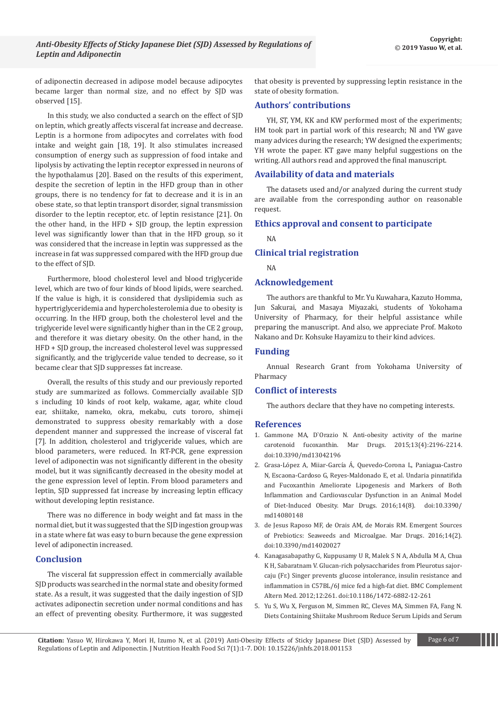of adiponectin decreased in adipose model because adipocytes became larger than normal size, and no effect by SJD was observed [15].

In this study, we also conducted a search on the effect of SJD on leptin, which greatly affects visceral fat increase and decrease. Leptin is a hormone from adipocytes and correlates with food intake and weight gain [18, 19]. It also stimulates increased consumption of energy such as suppression of food intake and lipolysis by activating the leptin receptor expressed in neurons of the hypothalamus [20]. Based on the results of this experiment, despite the secretion of leptin in the HFD group than in other groups, there is no tendency for fat to decrease and it is in an obese state, so that leptin transport disorder, signal transmission disorder to the leptin receptor, etc. of leptin resistance [21]. On the other hand, in the HFD + SJD group, the leptin expression level was significantly lower than that in the HFD group, so it was considered that the increase in leptin was suppressed as the increase in fat was suppressed compared with the HFD group due to the effect of SJD.

Furthermore, blood cholesterol level and blood triglyceride level, which are two of four kinds of blood lipids, were searched. If the value is high, it is considered that dyslipidemia such as hypertriglyceridemia and hypercholesterolemia due to obesity is occurring. In the HFD group, both the cholesterol level and the triglyceride level were significantly higher than in the CE 2 group, and therefore it was dietary obesity. On the other hand, in the HFD + SJD group, the increased cholesterol level was suppressed significantly, and the triglyceride value tended to decrease, so it became clear that SJD suppresses fat increase.

Overall, the results of this study and our previously reported study are summarized as follows. Commercially available SJD s including 10 kinds of root kelp, wakame, agar, white cloud ear, shiitake, nameko, okra, mekabu, cuts tororo, shimeji demonstrated to suppress obesity remarkably with a dose dependent manner and suppressed the increase of visceral fat [7]. In addition, cholesterol and triglyceride values, which are blood parameters, were reduced. In RT-PCR, gene expression level of adiponectin was not significantly different in the obesity model, but it was significantly decreased in the obesity model at the gene expression level of leptin. From blood parameters and leptin, SJD suppressed fat increase by increasing leptin efficacy without developing leptin resistance.

There was no difference in body weight and fat mass in the normal diet, but it was suggested that the SJD ingestion group was in a state where fat was easy to burn because the gene expression level of adiponectin increased.

# **Conclusion**

The visceral fat suppression effect in commercially available SJD products was searched in the normal state and obesity formed state. As a result, it was suggested that the daily ingestion of SJD activates adiponectin secretion under normal conditions and has an effect of preventing obesity. Furthermore, it was suggested

that obesity is prevented by suppressing leptin resistance in the state of obesity formation.

# **Authors' contributions**

YH, ST, YM, KK and KW performed most of the experiments; HM took part in partial work of this research; NI and YW gave many advices during the research; YW designed the experiments; YH wrote the paper. KT gave many helpful suggestions on the writing. All authors read and approved the final manuscript.

# **Availability of data and materials**

The datasets used and/or analyzed during the current study are available from the corresponding author on reasonable request.

# **Ethics approval and consent to participate**

NA

#### **Clinical trial registration**

NA

# **Acknowledgement**

The authors are thankful to Mr. Yu Kuwahara, Kazuto Homma, Jun Sakurai, and Masaya Miyazaki, students of Yokohama University of Pharmacy, for their helpful assistance while preparing the manuscript. And also, we appreciate Prof. Makoto Nakano and Dr. Kohsuke Hayamizu to their kind advices.

## **Funding**

Annual Research Grant from Yokohama University of Pharmacy

# **Conflict of interests**

The authors declare that they have no competing interests.

#### **References**

- 1. [Gammone MA, D`Orazio N. Anti-obesity activity of the marine](https://www.ncbi.nlm.nih.gov/pubmed/25871295)  [carotenoid fucoxanthin. Mar Drugs. 2015;13\(4\):2196-2214.](https://www.ncbi.nlm.nih.gov/pubmed/25871295)  [doi:10.3390/md13042196](https://www.ncbi.nlm.nih.gov/pubmed/25871295)
- 2. [Grasa-López A, Miiar-García Á, Quevedo-Corona L, Paniagua-Castro](https://www.ncbi.nlm.nih.gov/pubmed/27527189)  [N, Escaona-Cardoso G, Reyes-Maldonado E, et al. Undaria pinnatifida](https://www.ncbi.nlm.nih.gov/pubmed/27527189)  [and Fucoxanthin Ameliorate Lipogenesis and Markers of Both](https://www.ncbi.nlm.nih.gov/pubmed/27527189)  [Inflammation and Cardiovascular Dysfunction in an Animal Model](https://www.ncbi.nlm.nih.gov/pubmed/27527189)  [of Diet-Induced Obesity. Mar Drugs. 2016;14\(8\). doi:10.3390/](https://www.ncbi.nlm.nih.gov/pubmed/27527189) [md14080148](https://www.ncbi.nlm.nih.gov/pubmed/27527189)
- 3. [de Jesus Raposo MF, de Orais AM, de Morais RM. Emergent Sources](https://www.ncbi.nlm.nih.gov/pubmed/26828501)  [of Prebiotics: Seaweeds and Microalgae. Mar Drugs. 2016;14\(2\).](https://www.ncbi.nlm.nih.gov/pubmed/26828501)  [doi:10.3390/md14020027](https://www.ncbi.nlm.nih.gov/pubmed/26828501)
- 4. [Kanagasabapathy G, Kuppusamy U R, Malek S N A, Abdulla M A, Chua](https://www.ncbi.nlm.nih.gov/pmc/articles/PMC3553037/)  [K H, Sabaratnam V. Glucan-rich polysaccharides from Pleurotus sajor](https://www.ncbi.nlm.nih.gov/pmc/articles/PMC3553037/)[caju \(Fr.\) Singer prevents glucose intolerance, insulin resistance and](https://www.ncbi.nlm.nih.gov/pmc/articles/PMC3553037/)  [inflammation in C57BL/6J mice fed a high-fat diet. BMC Complement](https://www.ncbi.nlm.nih.gov/pmc/articles/PMC3553037/)  [Altern Med. 2012;12:261. doi:10.1186/1472-6882-12-261](https://www.ncbi.nlm.nih.gov/pmc/articles/PMC3553037/)
- 5. [Yu S, Wu X, Ferguson M, Simmen RC, Cleves MA, Simmen FA, Fang N.](https://www.ncbi.nlm.nih.gov/pubmed/27798348)  [Diets Containing Shiitake Mushroom Reduce Serum Lipids and Serum](https://www.ncbi.nlm.nih.gov/pubmed/27798348)

**Citation:** Yasuo W, Hirokawa Y, Mori H, Izumo N, et al. (2019) Anti-Obesity Effects of Sticky Japanese Diet (SJD) Assessed by Page 6 of 7 Regulations of Leptin and Adiponectin. J Nutrition Health Food Sci 7(1):1-7. DOI: 10.15226/jnhfs.2018.001153